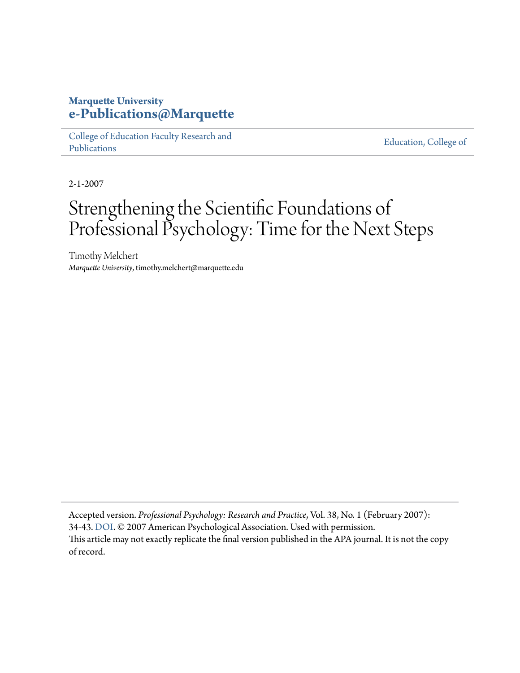### **Marquette University [e-Publications@Marquette](https://epublications.marquette.edu)**

[College of Education Faculty Research and](https://epublications.marquette.edu/edu_fac) [Publications](https://epublications.marquette.edu/edu_fac)

[Education, College of](https://epublications.marquette.edu/education)

2-1-2007

# Strengthening the Scientific Foundations of Professional Psychology: Time for the Next Steps

Timothy Melchert *Marquette University*, timothy.melchert@marquette.edu

Accepted version. *Professional Psychology: Research and Practice*, Vol. 38, No. 1 (February 2007): 34-43. [DOI](http://dx.doi.org/10.1037/0735-7028.38.1.34). © 2007 American Psychological Association. Used with permission. This article may not exactly replicate the final version published in the APA journal. It is not the copy of record.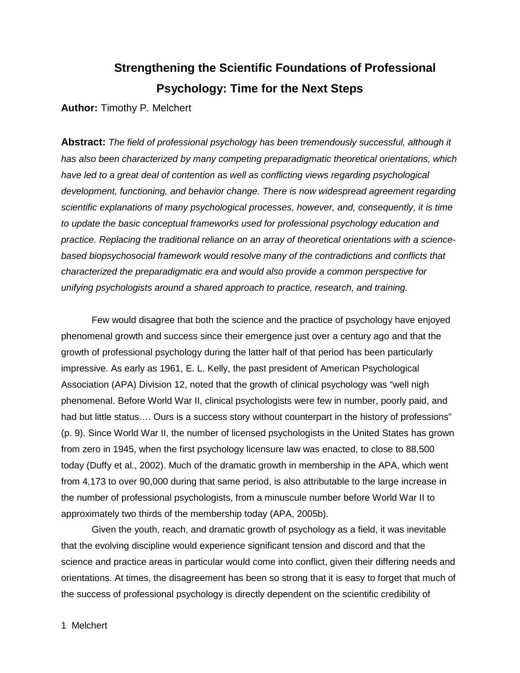## **Strengthening the Scientific Foundations of Professional Psychology: Time for the Next Steps**

**Author:** Timothy P. Melchert

**Abstract:** The field of professional psychology has been tremendously successful, although it has also been characterized by many competing preparadigmatic theoretical orientations, which have led to a great deal of contention as well as conflicting views regarding psychological development, functioning, and behavior change. There is now widespread agreement regarding scientific explanations of many psychological processes, however, and, consequently, it is time to update the basic conceptual frameworks used for professional psychology education and practice. Replacing the traditional reliance on an array of theoretical orientations with a sciencebased biopsychosocial framework would resolve many of the contradictions and conflicts that characterized the preparadigmatic era and would also provide a common perspective for unifying psychologists around a shared approach to practice, research, and training.

Few would disagree that both the science and the practice of psychology have enjoyed phenomenal growth and success since their emergence just over a century ago and that the growth of professional psychology during the latter half of that period has been particularly impressive. As early as 1961, E. L. Kelly, the past president of American Psychological Association (APA) Division 12, noted that the growth of clinical psychology was "well nigh phenomenal. Before World War II, clinical psychologists were few in number, poorly paid, and had but little status.... Ours is a success story without counterpart in the history of professions" (p. 9). Since World War II, the number of licensed psychologists in the United States has grown from zero in 1945, when the first psychology licensure law was enacted, to close to 88,500 today (Duffy et al., 2002). Much of the dramatic growth in membership in the APA, which went from 4,173 to over 90,000 during that same period, is also attributable to the large increase in the number of professional psychologists, from a minuscule number before World War II to approximately two thirds of the membership today (APA, 2005b).

Given the youth, reach, and dramatic growth of psychology as a field, it was inevitable that the evolving discipline would experience significant tension and discord and that the science and practice areas in particular would come into conflict, given their differing needs and orientations. At times, the disagreement has been so strong that it is easy to forget that much of the success of professional psychology is directly dependent on the scientific credibility of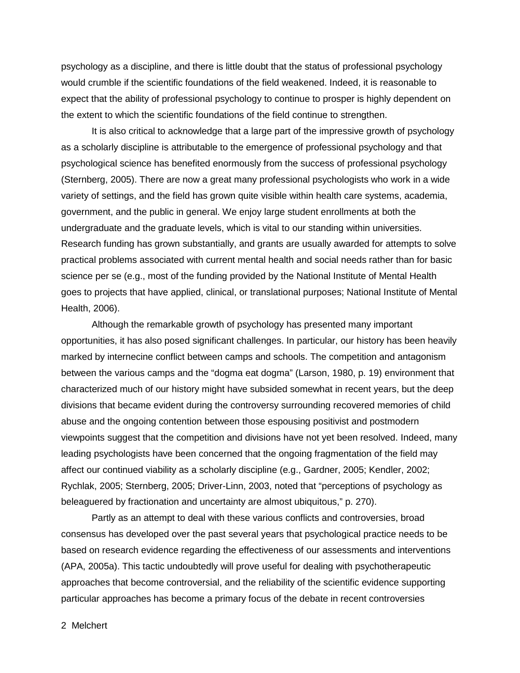psychology as a discipline, and there is little doubt that the status of professional psychology would crumble if the scientific foundations of the field weakened. Indeed, it is reasonable to expect that the ability of professional psychology to continue to prosper is highly dependent on the extent to which the scientific foundations of the field continue to strengthen.

It is also critical to acknowledge that a large part of the impressive growth of psychology as a scholarly discipline is attributable to the emergence of professional psychology and that psychological science has benefited enormously from the success of professional psychology (Sternberg, 2005). There are now a great many professional psychologists who work in a wide variety of settings, and the field has grown quite visible within health care systems, academia, government, and the public in general. We enjoy large student enrollments at both the undergraduate and the graduate levels, which is vital to our standing within universities. Research funding has grown substantially, and grants are usually awarded for attempts to solve practical problems associated with current mental health and social needs rather than for basic science per se (e.g., most of the funding provided by the National Institute of Mental Health goes to projects that have applied, clinical, or translational purposes; National Institute of Mental Health, 2006).

Although the remarkable growth of psychology has presented many important opportunities, it has also posed significant challenges. In particular, our history has been heavily marked by internecine conflict between camps and schools. The competition and antagonism between the various camps and the "dogma eat dogma" (Larson, 1980, p. 19) environment that characterized much of our history might have subsided somewhat in recent years, but the deep divisions that became evident during the controversy surrounding recovered memories of child abuse and the ongoing contention between those espousing positivist and postmodern viewpoints suggest that the competition and divisions have not yet been resolved. Indeed, many leading psychologists have been concerned that the ongoing fragmentation of the field may affect our continued viability as a scholarly discipline (e.g., Gardner, 2005; Kendler, 2002; Rychlak, 2005; Sternberg, 2005; Driver-Linn, 2003, noted that "perceptions of psychology as beleaguered by fractionation and uncertainty are almost ubiquitous," p. 270).

Partly as an attempt to deal with these various conflicts and controversies, broad consensus has developed over the past several years that psychological practice needs to be based on research evidence regarding the effectiveness of our assessments and interventions (APA, 2005a). This tactic undoubtedly will prove useful for dealing with psychotherapeutic approaches that become controversial, and the reliability of the scientific evidence supporting particular approaches has become a primary focus of the debate in recent controversies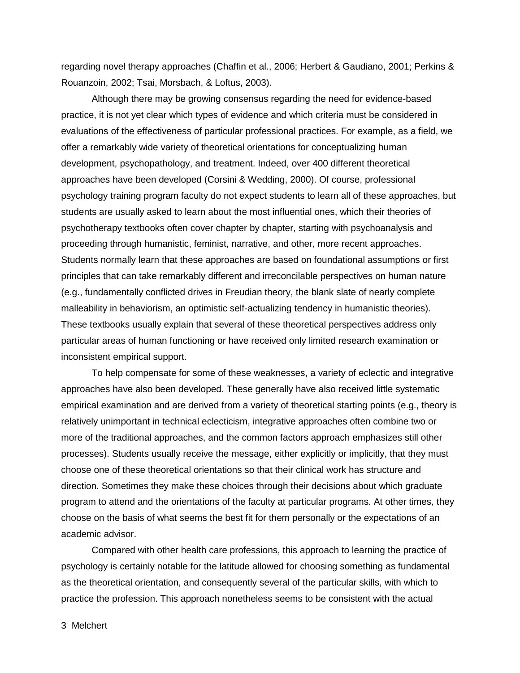regarding novel therapy approaches (Chaffin et al., 2006; Herbert & Gaudiano, 2001; Perkins & Rouanzoin, 2002; Tsai, Morsbach, & Loftus, 2003).

Although there may be growing consensus regarding the need for evidence-based practice, it is not yet clear which types of evidence and which criteria must be considered in evaluations of the effectiveness of particular professional practices. For example, as a field, we offer a remarkably wide variety of theoretical orientations for conceptualizing human development, psychopathology, and treatment. Indeed, over 400 different theoretical approaches have been developed (Corsini & Wedding, 2000). Of course, professional psychology training program faculty do not expect students to learn all of these approaches, but students are usually asked to learn about the most influential ones, which their theories of psychotherapy textbooks often cover chapter by chapter, starting with psychoanalysis and proceeding through humanistic, feminist, narrative, and other, more recent approaches. Students normally learn that these approaches are based on foundational assumptions or first principles that can take remarkably different and irreconcilable perspectives on human nature (e.g., fundamentally conflicted drives in Freudian theory, the blank slate of nearly complete malleability in behaviorism, an optimistic self-actualizing tendency in humanistic theories). These textbooks usually explain that several of these theoretical perspectives address only particular areas of human functioning or have received only limited research examination or inconsistent empirical support.

To help compensate for some of these weaknesses, a variety of eclectic and integrative approaches have also been developed. These generally have also received little systematic empirical examination and are derived from a variety of theoretical starting points (e.g., theory is relatively unimportant in technical eclecticism, integrative approaches often combine two or more of the traditional approaches, and the common factors approach emphasizes still other processes). Students usually receive the message, either explicitly or implicitly, that they must choose one of these theoretical orientations so that their clinical work has structure and direction. Sometimes they make these choices through their decisions about which graduate program to attend and the orientations of the faculty at particular programs. At other times, they choose on the basis of what seems the best fit for them personally or the expectations of an academic advisor.

Compared with other health care professions, this approach to learning the practice of psychology is certainly notable for the latitude allowed for choosing something as fundamental as the theoretical orientation, and consequently several of the particular skills, with which to practice the profession. This approach nonetheless seems to be consistent with the actual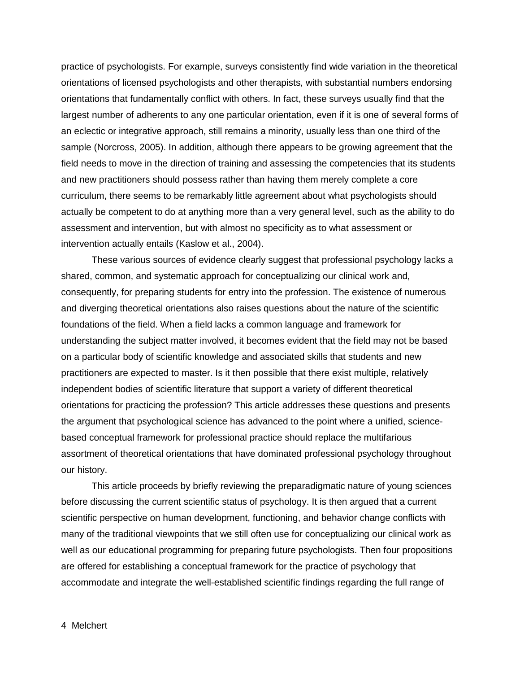practice of psychologists. For example, surveys consistently find wide variation in the theoretical orientations of licensed psychologists and other therapists, with substantial numbers endorsing orientations that fundamentally conflict with others. In fact, these surveys usually find that the largest number of adherents to any one particular orientation, even if it is one of several forms of an eclectic or integrative approach, still remains a minority, usually less than one third of the sample (Norcross, 2005). In addition, although there appears to be growing agreement that the field needs to move in the direction of training and assessing the competencies that its students and new practitioners should possess rather than having them merely complete a core curriculum, there seems to be remarkably little agreement about what psychologists should actually be competent to do at anything more than a very general level, such as the ability to do assessment and intervention, but with almost no specificity as to what assessment or intervention actually entails (Kaslow et al., 2004).

These various sources of evidence clearly suggest that professional psychology lacks a shared, common, and systematic approach for conceptualizing our clinical work and, consequently, for preparing students for entry into the profession. The existence of numerous and diverging theoretical orientations also raises questions about the nature of the scientific foundations of the field. When a field lacks a common language and framework for understanding the subject matter involved, it becomes evident that the field may not be based on a particular body of scientific knowledge and associated skills that students and new practitioners are expected to master. Is it then possible that there exist multiple, relatively independent bodies of scientific literature that support a variety of different theoretical orientations for practicing the profession? This article addresses these questions and presents the argument that psychological science has advanced to the point where a unified, sciencebased conceptual framework for professional practice should replace the multifarious assortment of theoretical orientations that have dominated professional psychology throughout our history.

This article proceeds by briefly reviewing the preparadigmatic nature of young sciences before discussing the current scientific status of psychology. It is then argued that a current scientific perspective on human development, functioning, and behavior change conflicts with many of the traditional viewpoints that we still often use for conceptualizing our clinical work as well as our educational programming for preparing future psychologists. Then four propositions are offered for establishing a conceptual framework for the practice of psychology that accommodate and integrate the well-established scientific findings regarding the full range of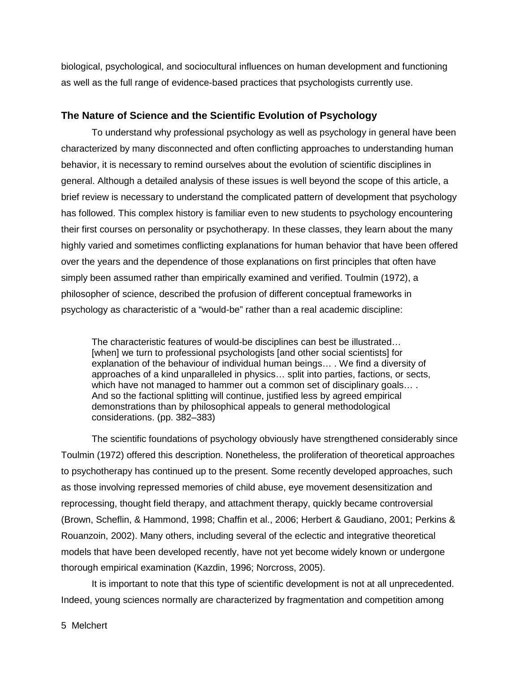biological, psychological, and sociocultural influences on human development and functioning as well as the full range of evidence-based practices that psychologists currently use.

#### **The Nature of Science and the Scientific Evolution of Psychology**

To understand why professional psychology as well as psychology in general have been characterized by many disconnected and often conflicting approaches to understanding human behavior, it is necessary to remind ourselves about the evolution of scientific disciplines in general. Although a detailed analysis of these issues is well beyond the scope of this article, a brief review is necessary to understand the complicated pattern of development that psychology has followed. This complex history is familiar even to new students to psychology encountering their first courses on personality or psychotherapy. In these classes, they learn about the many highly varied and sometimes conflicting explanations for human behavior that have been offered over the years and the dependence of those explanations on first principles that often have simply been assumed rather than empirically examined and verified. Toulmin (1972), a philosopher of science, described the profusion of different conceptual frameworks in psychology as characteristic of a "would-be" rather than a real academic discipline:

The characteristic features of would-be disciplines can best be illustrated… [when] we turn to professional psychologists [and other social scientists] for explanation of the behaviour of individual human beings… . We find a diversity of approaches of a kind unparalleled in physics… split into parties, factions, or sects, which have not managed to hammer out a common set of disciplinary goals.... And so the factional splitting will continue, justified less by agreed empirical demonstrations than by philosophical appeals to general methodological considerations. (pp. 382–383)

The scientific foundations of psychology obviously have strengthened considerably since Toulmin (1972) offered this description. Nonetheless, the proliferation of theoretical approaches to psychotherapy has continued up to the present. Some recently developed approaches, such as those involving repressed memories of child abuse, eye movement desensitization and reprocessing, thought field therapy, and attachment therapy, quickly became controversial (Brown, Scheflin, & Hammond, 1998; Chaffin et al., 2006; Herbert & Gaudiano, 2001; Perkins & Rouanzoin, 2002). Many others, including several of the eclectic and integrative theoretical models that have been developed recently, have not yet become widely known or undergone thorough empirical examination (Kazdin, 1996; Norcross, 2005).

It is important to note that this type of scientific development is not at all unprecedented. Indeed, young sciences normally are characterized by fragmentation and competition among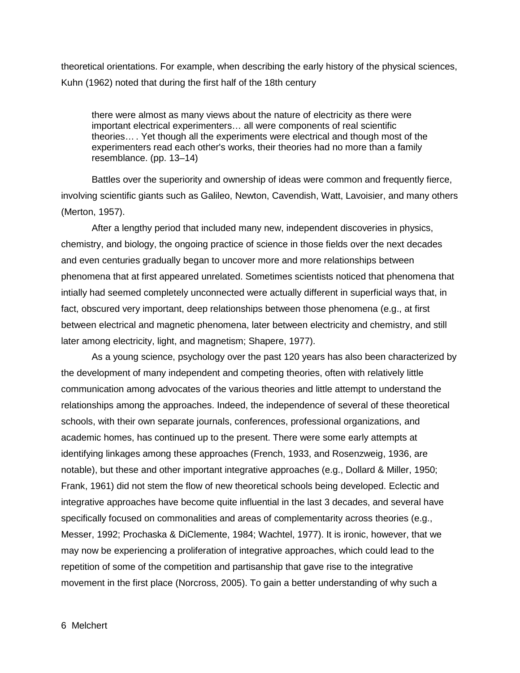theoretical orientations. For example, when describing the early history of the physical sciences, Kuhn (1962) noted that during the first half of the 18th century

there were almost as many views about the nature of electricity as there were important electrical experimenters… all were components of real scientific theories…. Yet though all the experiments were electrical and though most of the experimenters read each other's works, their theories had no more than a family resemblance. (pp. 13–14)

Battles over the superiority and ownership of ideas were common and frequently fierce, involving scientific giants such as Galileo, Newton, Cavendish, Watt, Lavoisier, and many others (Merton, 1957).

After a lengthy period that included many new, independent discoveries in physics, chemistry, and biology, the ongoing practice of science in those fields over the next decades and even centuries gradually began to uncover more and more relationships between phenomena that at first appeared unrelated. Sometimes scientists noticed that phenomena that intially had seemed completely unconnected were actually different in superficial ways that, in fact, obscured very important, deep relationships between those phenomena (e.g., at first between electrical and magnetic phenomena, later between electricity and chemistry, and still later among electricity, light, and magnetism; Shapere, 1977).

As a young science, psychology over the past 120 years has also been characterized by the development of many independent and competing theories, often with relatively little communication among advocates of the various theories and little attempt to understand the relationships among the approaches. Indeed, the independence of several of these theoretical schools, with their own separate journals, conferences, professional organizations, and academic homes, has continued up to the present. There were some early attempts at identifying linkages among these approaches (French, 1933, and Rosenzweig, 1936, are notable), but these and other important integrative approaches (e.g., Dollard & Miller, 1950; Frank, 1961) did not stem the flow of new theoretical schools being developed. Eclectic and integrative approaches have become quite influential in the last 3 decades, and several have specifically focused on commonalities and areas of complementarity across theories (e.g., Messer, 1992; Prochaska & DiClemente, 1984; Wachtel, 1977). It is ironic, however, that we may now be experiencing a proliferation of integrative approaches, which could lead to the repetition of some of the competition and partisanship that gave rise to the integrative movement in the first place (Norcross, 2005). To gain a better understanding of why such a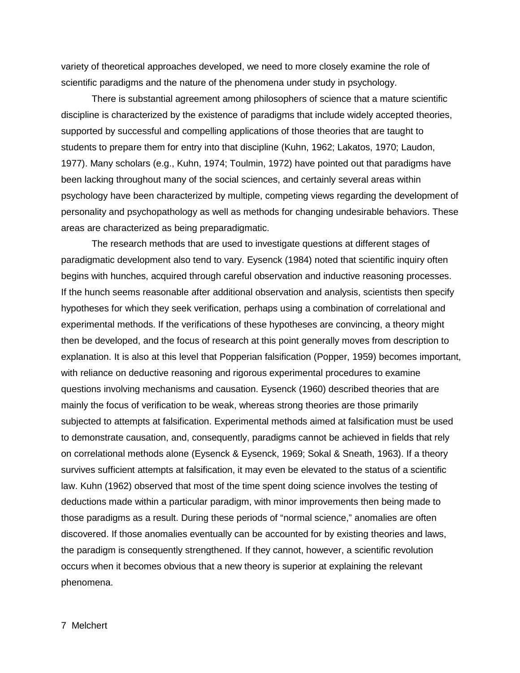variety of theoretical approaches developed, we need to more closely examine the role of scientific paradigms and the nature of the phenomena under study in psychology.

There is substantial agreement among philosophers of science that a mature scientific discipline is characterized by the existence of paradigms that include widely accepted theories, supported by successful and compelling applications of those theories that are taught to students to prepare them for entry into that discipline (Kuhn, 1962; Lakatos, 1970; Laudon, 1977). Many scholars (e.g., Kuhn, 1974; Toulmin, 1972) have pointed out that paradigms have been lacking throughout many of the social sciences, and certainly several areas within psychology have been characterized by multiple, competing views regarding the development of personality and psychopathology as well as methods for changing undesirable behaviors. These areas are characterized as being preparadigmatic.

The research methods that are used to investigate questions at different stages of paradigmatic development also tend to vary. Eysenck (1984) noted that scientific inquiry often begins with hunches, acquired through careful observation and inductive reasoning processes. If the hunch seems reasonable after additional observation and analysis, scientists then specify hypotheses for which they seek verification, perhaps using a combination of correlational and experimental methods. If the verifications of these hypotheses are convincing, a theory might then be developed, and the focus of research at this point generally moves from description to explanation. It is also at this level that Popperian falsification (Popper, 1959) becomes important, with reliance on deductive reasoning and rigorous experimental procedures to examine questions involving mechanisms and causation. Eysenck (1960) described theories that are mainly the focus of verification to be weak, whereas strong theories are those primarily subjected to attempts at falsification. Experimental methods aimed at falsification must be used to demonstrate causation, and, consequently, paradigms cannot be achieved in fields that rely on correlational methods alone (Eysenck & Eysenck, 1969; Sokal & Sneath, 1963). If a theory survives sufficient attempts at falsification, it may even be elevated to the status of a scientific law. Kuhn (1962) observed that most of the time spent doing science involves the testing of deductions made within a particular paradigm, with minor improvements then being made to those paradigms as a result. During these periods of "normal science," anomalies are often discovered. If those anomalies eventually can be accounted for by existing theories and laws, the paradigm is consequently strengthened. If they cannot, however, a scientific revolution occurs when it becomes obvious that a new theory is superior at explaining the relevant phenomena.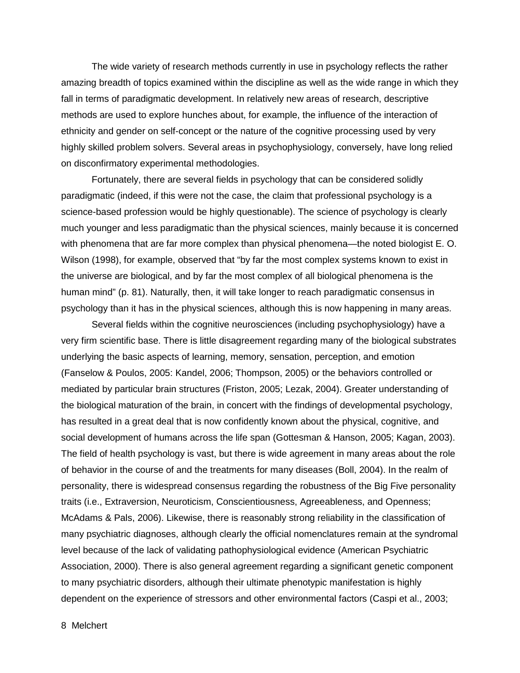The wide variety of research methods currently in use in psychology reflects the rather amazing breadth of topics examined within the discipline as well as the wide range in which they fall in terms of paradigmatic development. In relatively new areas of research, descriptive methods are used to explore hunches about, for example, the influence of the interaction of ethnicity and gender on self-concept or the nature of the cognitive processing used by very highly skilled problem solvers. Several areas in psychophysiology, conversely, have long relied on disconfirmatory experimental methodologies.

Fortunately, there are several fields in psychology that can be considered solidly paradigmatic (indeed, if this were not the case, the claim that professional psychology is a science-based profession would be highly questionable). The science of psychology is clearly much younger and less paradigmatic than the physical sciences, mainly because it is concerned with phenomena that are far more complex than physical phenomena—the noted biologist E. O. Wilson (1998), for example, observed that "by far the most complex systems known to exist in the universe are biological, and by far the most complex of all biological phenomena is the human mind" (p. 81). Naturally, then, it will take longer to reach paradigmatic consensus in psychology than it has in the physical sciences, although this is now happening in many areas.

Several fields within the cognitive neurosciences (including psychophysiology) have a very firm scientific base. There is little disagreement regarding many of the biological substrates underlying the basic aspects of learning, memory, sensation, perception, and emotion (Fanselow & Poulos, 2005: Kandel, 2006; Thompson, 2005) or the behaviors controlled or mediated by particular brain structures (Friston, 2005; Lezak, 2004). Greater understanding of the biological maturation of the brain, in concert with the findings of developmental psychology, has resulted in a great deal that is now confidently known about the physical, cognitive, and social development of humans across the life span (Gottesman & Hanson, 2005; Kagan, 2003). The field of health psychology is vast, but there is wide agreement in many areas about the role of behavior in the course of and the treatments for many diseases (Boll, 2004). In the realm of personality, there is widespread consensus regarding the robustness of the Big Five personality traits (i.e., Extraversion, Neuroticism, Conscientiousness, Agreeableness, and Openness; McAdams & Pals, 2006). Likewise, there is reasonably strong reliability in the classification of many psychiatric diagnoses, although clearly the official nomenclatures remain at the syndromal level because of the lack of validating pathophysiological evidence (American Psychiatric Association, 2000). There is also general agreement regarding a significant genetic component to many psychiatric disorders, although their ultimate phenotypic manifestation is highly dependent on the experience of stressors and other environmental factors (Caspi et al., 2003;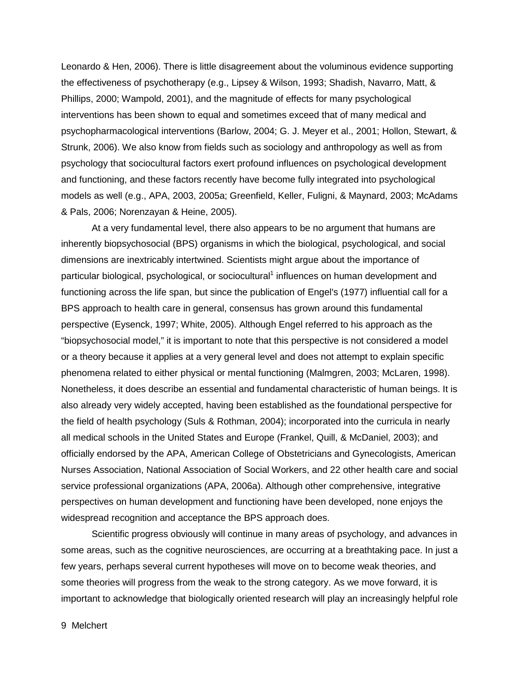Leonardo & Hen, 2006). There is little disagreement about the voluminous evidence supporting the effectiveness of psychotherapy (e.g., Lipsey & Wilson, 1993; Shadish, Navarro, Matt, & Phillips, 2000; Wampold, 2001), and the magnitude of effects for many psychological interventions has been shown to equal and sometimes exceed that of many medical and psychopharmacological interventions (Barlow, 2004; G. J. Meyer et al., 2001; Hollon, Stewart, & Strunk, 2006). We also know from fields such as sociology and anthropology as well as from psychology that sociocultural factors exert profound influences on psychological development and functioning, and these factors recently have become fully integrated into psychological models as well (e.g., APA, 2003, 2005a; Greenfield, Keller, Fuligni, & Maynard, 2003; McAdams & Pals, 2006; Norenzayan & Heine, 2005).

At a very fundamental level, there also appears to be no argument that humans are inherently biopsychosocial (BPS) organisms in which the biological, psychological, and social dimensions are inextricably intertwined. Scientists might argue about the importance of particular biological, psychological, or sociocultural<sup>1</sup> influences on human development and functioning across the life span, but since the publication of Engel's (1977) influential call for a BPS approach to health care in general, consensus has grown around this fundamental perspective (Eysenck, 1997; White, 2005). Although Engel referred to his approach as the "biopsychosocial model," it is important to note that this perspective is not considered a model or a theory because it applies at a very general level and does not attempt to explain specific phenomena related to either physical or mental functioning (Malmgren, 2003; McLaren, 1998). Nonetheless, it does describe an essential and fundamental characteristic of human beings. It is also already very widely accepted, having been established as the foundational perspective for the field of health psychology (Suls & Rothman, 2004); incorporated into the curricula in nearly all medical schools in the United States and Europe (Frankel, Quill, & McDaniel, 2003); and officially endorsed by the APA, American College of Obstetricians and Gynecologists, American Nurses Association, National Association of Social Workers, and 22 other health care and social service professional organizations (APA, 2006a). Although other comprehensive, integrative perspectives on human development and functioning have been developed, none enjoys the widespread recognition and acceptance the BPS approach does.

Scientific progress obviously will continue in many areas of psychology, and advances in some areas, such as the cognitive neurosciences, are occurring at a breathtaking pace. In just a few years, perhaps several current hypotheses will move on to become weak theories, and some theories will progress from the weak to the strong category. As we move forward, it is important to acknowledge that biologically oriented research will play an increasingly helpful role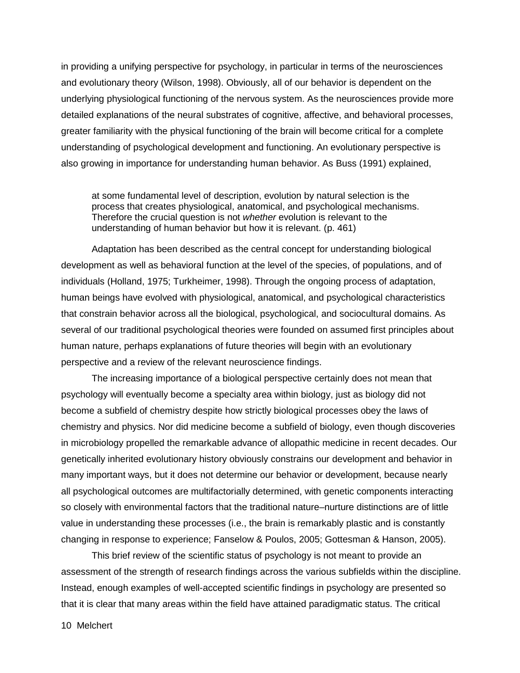in providing a unifying perspective for psychology, in particular in terms of the neurosciences and evolutionary theory (Wilson, 1998). Obviously, all of our behavior is dependent on the underlying physiological functioning of the nervous system. As the neurosciences provide more detailed explanations of the neural substrates of cognitive, affective, and behavioral processes, greater familiarity with the physical functioning of the brain will become critical for a complete understanding of psychological development and functioning. An evolutionary perspective is also growing in importance for understanding human behavior. As Buss (1991) explained,

at some fundamental level of description, evolution by natural selection is the process that creates physiological, anatomical, and psychological mechanisms. Therefore the crucial question is not whether evolution is relevant to the understanding of human behavior but how it is relevant. (p. 461)

Adaptation has been described as the central concept for understanding biological development as well as behavioral function at the level of the species, of populations, and of individuals (Holland, 1975; Turkheimer, 1998). Through the ongoing process of adaptation, human beings have evolved with physiological, anatomical, and psychological characteristics that constrain behavior across all the biological, psychological, and sociocultural domains. As several of our traditional psychological theories were founded on assumed first principles about human nature, perhaps explanations of future theories will begin with an evolutionary perspective and a review of the relevant neuroscience findings.

The increasing importance of a biological perspective certainly does not mean that psychology will eventually become a specialty area within biology, just as biology did not become a subfield of chemistry despite how strictly biological processes obey the laws of chemistry and physics. Nor did medicine become a subfield of biology, even though discoveries in microbiology propelled the remarkable advance of allopathic medicine in recent decades. Our genetically inherited evolutionary history obviously constrains our development and behavior in many important ways, but it does not determine our behavior or development, because nearly all psychological outcomes are multifactorially determined, with genetic components interacting so closely with environmental factors that the traditional nature–nurture distinctions are of little value in understanding these processes (i.e., the brain is remarkably plastic and is constantly changing in response to experience; Fanselow & Poulos, 2005; Gottesman & Hanson, 2005).

This brief review of the scientific status of psychology is not meant to provide an assessment of the strength of research findings across the various subfields within the discipline. Instead, enough examples of well-accepted scientific findings in psychology are presented so that it is clear that many areas within the field have attained paradigmatic status. The critical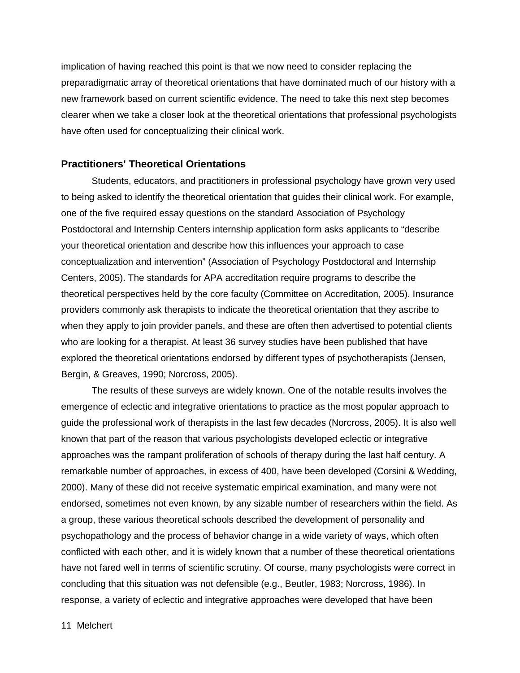implication of having reached this point is that we now need to consider replacing the preparadigmatic array of theoretical orientations that have dominated much of our history with a new framework based on current scientific evidence. The need to take this next step becomes clearer when we take a closer look at the theoretical orientations that professional psychologists have often used for conceptualizing their clinical work.

#### **Practitioners' Theoretical Orientations**

Students, educators, and practitioners in professional psychology have grown very used to being asked to identify the theoretical orientation that guides their clinical work. For example, one of the five required essay questions on the standard Association of Psychology Postdoctoral and Internship Centers internship application form asks applicants to "describe your theoretical orientation and describe how this influences your approach to case conceptualization and intervention" (Association of Psychology Postdoctoral and Internship Centers, 2005). The standards for APA accreditation require programs to describe the theoretical perspectives held by the core faculty (Committee on Accreditation, 2005). Insurance providers commonly ask therapists to indicate the theoretical orientation that they ascribe to when they apply to join provider panels, and these are often then advertised to potential clients who are looking for a therapist. At least 36 survey studies have been published that have explored the theoretical orientations endorsed by different types of psychotherapists (Jensen, Bergin, & Greaves, 1990; Norcross, 2005).

The results of these surveys are widely known. One of the notable results involves the emergence of eclectic and integrative orientations to practice as the most popular approach to guide the professional work of therapists in the last few decades (Norcross, 2005). It is also well known that part of the reason that various psychologists developed eclectic or integrative approaches was the rampant proliferation of schools of therapy during the last half century. A remarkable number of approaches, in excess of 400, have been developed (Corsini & Wedding, 2000). Many of these did not receive systematic empirical examination, and many were not endorsed, sometimes not even known, by any sizable number of researchers within the field. As a group, these various theoretical schools described the development of personality and psychopathology and the process of behavior change in a wide variety of ways, which often conflicted with each other, and it is widely known that a number of these theoretical orientations have not fared well in terms of scientific scrutiny. Of course, many psychologists were correct in concluding that this situation was not defensible (e.g., Beutler, 1983; Norcross, 1986). In response, a variety of eclectic and integrative approaches were developed that have been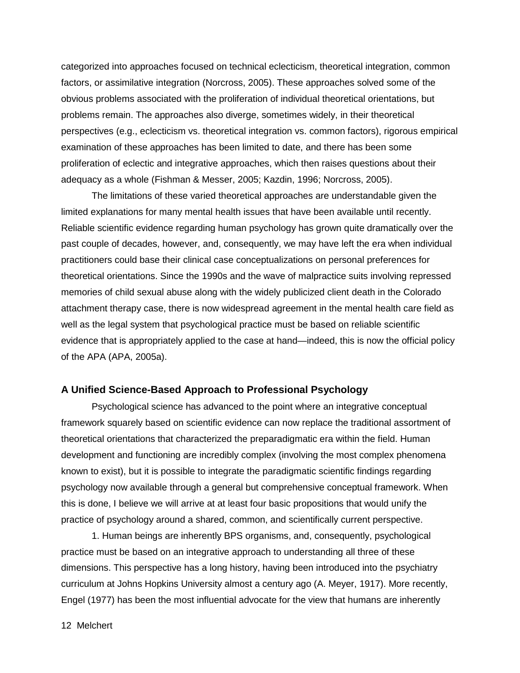categorized into approaches focused on technical eclecticism, theoretical integration, common factors, or assimilative integration (Norcross, 2005). These approaches solved some of the obvious problems associated with the proliferation of individual theoretical orientations, but problems remain. The approaches also diverge, sometimes widely, in their theoretical perspectives (e.g., eclecticism vs. theoretical integration vs. common factors), rigorous empirical examination of these approaches has been limited to date, and there has been some proliferation of eclectic and integrative approaches, which then raises questions about their adequacy as a whole (Fishman & Messer, 2005; Kazdin, 1996; Norcross, 2005).

The limitations of these varied theoretical approaches are understandable given the limited explanations for many mental health issues that have been available until recently. Reliable scientific evidence regarding human psychology has grown quite dramatically over the past couple of decades, however, and, consequently, we may have left the era when individual practitioners could base their clinical case conceptualizations on personal preferences for theoretical orientations. Since the 1990s and the wave of malpractice suits involving repressed memories of child sexual abuse along with the widely publicized client death in the Colorado attachment therapy case, there is now widespread agreement in the mental health care field as well as the legal system that psychological practice must be based on reliable scientific evidence that is appropriately applied to the case at hand—indeed, this is now the official policy of the APA (APA, 2005a).

#### **A Unified Science-Based Approach to Professional Psychology**

Psychological science has advanced to the point where an integrative conceptual framework squarely based on scientific evidence can now replace the traditional assortment of theoretical orientations that characterized the preparadigmatic era within the field. Human development and functioning are incredibly complex (involving the most complex phenomena known to exist), but it is possible to integrate the paradigmatic scientific findings regarding psychology now available through a general but comprehensive conceptual framework. When this is done, I believe we will arrive at at least four basic propositions that would unify the practice of psychology around a shared, common, and scientifically current perspective.

1. Human beings are inherently BPS organisms, and, consequently, psychological practice must be based on an integrative approach to understanding all three of these dimensions. This perspective has a long history, having been introduced into the psychiatry curriculum at Johns Hopkins University almost a century ago (A. Meyer, 1917). More recently, Engel (1977) has been the most influential advocate for the view that humans are inherently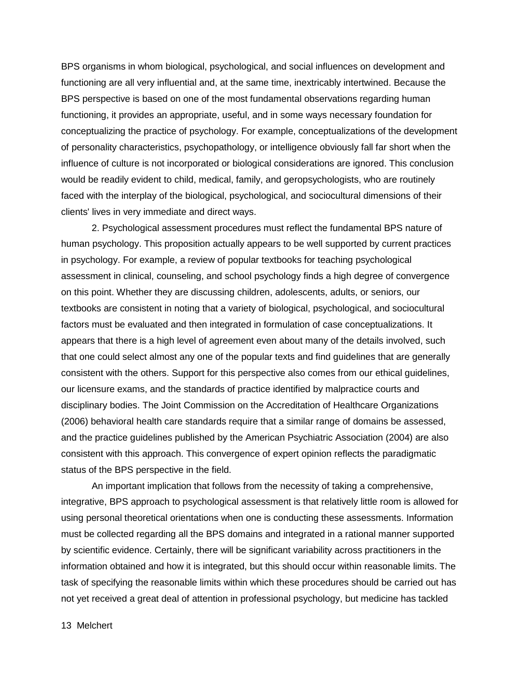BPS organisms in whom biological, psychological, and social influences on development and functioning are all very influential and, at the same time, inextricably intertwined. Because the BPS perspective is based on one of the most fundamental observations regarding human functioning, it provides an appropriate, useful, and in some ways necessary foundation for conceptualizing the practice of psychology. For example, conceptualizations of the development of personality characteristics, psychopathology, or intelligence obviously fall far short when the influence of culture is not incorporated or biological considerations are ignored. This conclusion would be readily evident to child, medical, family, and geropsychologists, who are routinely faced with the interplay of the biological, psychological, and sociocultural dimensions of their clients' lives in very immediate and direct ways.

2. Psychological assessment procedures must reflect the fundamental BPS nature of human psychology. This proposition actually appears to be well supported by current practices in psychology. For example, a review of popular textbooks for teaching psychological assessment in clinical, counseling, and school psychology finds a high degree of convergence on this point. Whether they are discussing children, adolescents, adults, or seniors, our textbooks are consistent in noting that a variety of biological, psychological, and sociocultural factors must be evaluated and then integrated in formulation of case conceptualizations. It appears that there is a high level of agreement even about many of the details involved, such that one could select almost any one of the popular texts and find guidelines that are generally consistent with the others. Support for this perspective also comes from our ethical guidelines, our licensure exams, and the standards of practice identified by malpractice courts and disciplinary bodies. The Joint Commission on the Accreditation of Healthcare Organizations (2006) behavioral health care standards require that a similar range of domains be assessed, and the practice guidelines published by the American Psychiatric Association (2004) are also consistent with this approach. This convergence of expert opinion reflects the paradigmatic status of the BPS perspective in the field.

An important implication that follows from the necessity of taking a comprehensive, integrative, BPS approach to psychological assessment is that relatively little room is allowed for using personal theoretical orientations when one is conducting these assessments. Information must be collected regarding all the BPS domains and integrated in a rational manner supported by scientific evidence. Certainly, there will be significant variability across practitioners in the information obtained and how it is integrated, but this should occur within reasonable limits. The task of specifying the reasonable limits within which these procedures should be carried out has not yet received a great deal of attention in professional psychology, but medicine has tackled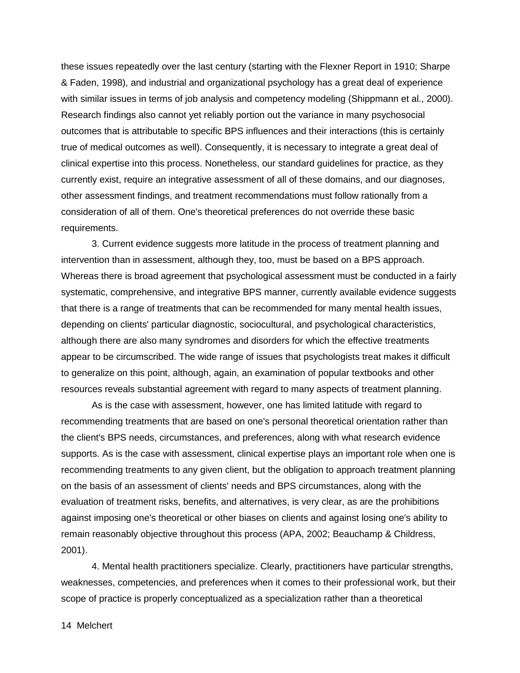these issues repeatedly over the last century (starting with the Flexner Report in 1910; Sharpe & Faden, 1998), and industrial and organizational psychology has a great deal of experience with similar issues in terms of job analysis and competency modeling (Shippmann et al., 2000). Research findings also cannot yet reliably portion out the variance in many psychosocial outcomes that is attributable to specific BPS influences and their interactions (this is certainly true of medical outcomes as well). Consequently, it is necessary to integrate a great deal of clinical expertise into this process. Nonetheless, our standard guidelines for practice, as they currently exist, require an integrative assessment of all of these domains, and our diagnoses, other assessment findings, and treatment recommendations must follow rationally from a consideration of all of them. One's theoretical preferences do not override these basic requirements.

3. Current evidence suggests more latitude in the process of treatment planning and intervention than in assessment, although they, too, must be based on a BPS approach. Whereas there is broad agreement that psychological assessment must be conducted in a fairly systematic, comprehensive, and integrative BPS manner, currently available evidence suggests that there is a range of treatments that can be recommended for many mental health issues, depending on clients' particular diagnostic, sociocultural, and psychological characteristics, although there are also many syndromes and disorders for which the effective treatments appear to be circumscribed. The wide range of issues that psychologists treat makes it difficult to generalize on this point, although, again, an examination of popular textbooks and other resources reveals substantial agreement with regard to many aspects of treatment planning.

As is the case with assessment, however, one has limited latitude with regard to recommending treatments that are based on one's personal theoretical orientation rather than the client's BPS needs, circumstances, and preferences, along with what research evidence supports. As is the case with assessment, clinical expertise plays an important role when one is recommending treatments to any given client, but the obligation to approach treatment planning on the basis of an assessment of clients' needs and BPS circumstances, along with the evaluation of treatment risks, benefits, and alternatives, is very clear, as are the prohibitions against imposing one's theoretical or other biases on clients and against losing one's ability to remain reasonably objective throughout this process (APA, 2002; Beauchamp & Childress, 2001).

4. Mental health practitioners specialize. Clearly, practitioners have particular strengths, weaknesses, competencies, and preferences when it comes to their professional work, but their scope of practice is properly conceptualized as a specialization rather than a theoretical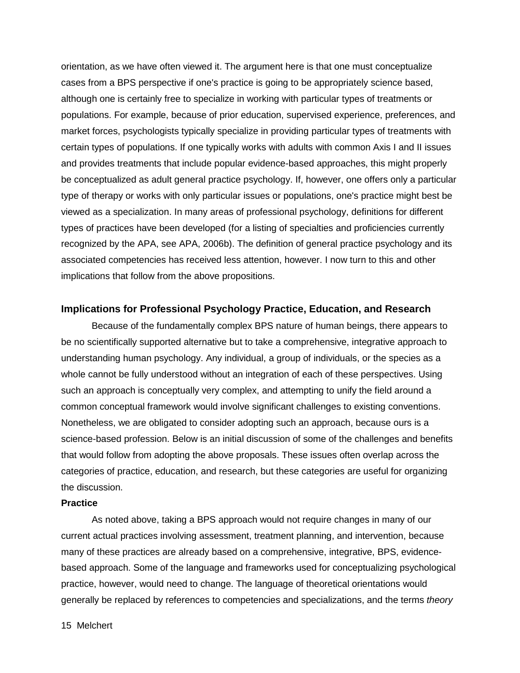orientation, as we have often viewed it. The argument here is that one must conceptualize cases from a BPS perspective if one's practice is going to be appropriately science based, although one is certainly free to specialize in working with particular types of treatments or populations. For example, because of prior education, supervised experience, preferences, and market forces, psychologists typically specialize in providing particular types of treatments with certain types of populations. If one typically works with adults with common Axis I and II issues and provides treatments that include popular evidence-based approaches, this might properly be conceptualized as adult general practice psychology. If, however, one offers only a particular type of therapy or works with only particular issues or populations, one's practice might best be viewed as a specialization. In many areas of professional psychology, definitions for different types of practices have been developed (for a listing of specialties and proficiencies currently recognized by the APA, see APA, 2006b). The definition of general practice psychology and its associated competencies has received less attention, however. I now turn to this and other implications that follow from the above propositions.

#### **Implications for Professional Psychology Practice, Education, and Research**

Because of the fundamentally complex BPS nature of human beings, there appears to be no scientifically supported alternative but to take a comprehensive, integrative approach to understanding human psychology. Any individual, a group of individuals, or the species as a whole cannot be fully understood without an integration of each of these perspectives. Using such an approach is conceptually very complex, and attempting to unify the field around a common conceptual framework would involve significant challenges to existing conventions. Nonetheless, we are obligated to consider adopting such an approach, because ours is a science-based profession. Below is an initial discussion of some of the challenges and benefits that would follow from adopting the above proposals. These issues often overlap across the categories of practice, education, and research, but these categories are useful for organizing the discussion.

#### **Practice**

As noted above, taking a BPS approach would not require changes in many of our current actual practices involving assessment, treatment planning, and intervention, because many of these practices are already based on a comprehensive, integrative, BPS, evidencebased approach. Some of the language and frameworks used for conceptualizing psychological practice, however, would need to change. The language of theoretical orientations would generally be replaced by references to competencies and specializations, and the terms theory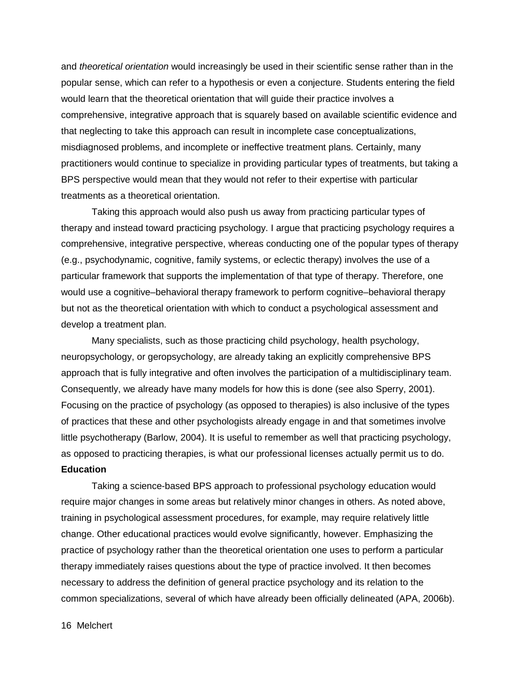and *theoretical orientation* would increasingly be used in their scientific sense rather than in the popular sense, which can refer to a hypothesis or even a conjecture. Students entering the field would learn that the theoretical orientation that will guide their practice involves a comprehensive, integrative approach that is squarely based on available scientific evidence and that neglecting to take this approach can result in incomplete case conceptualizations, misdiagnosed problems, and incomplete or ineffective treatment plans. Certainly, many practitioners would continue to specialize in providing particular types of treatments, but taking a BPS perspective would mean that they would not refer to their expertise with particular treatments as a theoretical orientation.

Taking this approach would also push us away from practicing particular types of therapy and instead toward practicing psychology. I argue that practicing psychology requires a comprehensive, integrative perspective, whereas conducting one of the popular types of therapy (e.g., psychodynamic, cognitive, family systems, or eclectic therapy) involves the use of a particular framework that supports the implementation of that type of therapy. Therefore, one would use a cognitive–behavioral therapy framework to perform cognitive–behavioral therapy but not as the theoretical orientation with which to conduct a psychological assessment and develop a treatment plan.

Many specialists, such as those practicing child psychology, health psychology, neuropsychology, or geropsychology, are already taking an explicitly comprehensive BPS approach that is fully integrative and often involves the participation of a multidisciplinary team. Consequently, we already have many models for how this is done (see also Sperry, 2001). Focusing on the practice of psychology (as opposed to therapies) is also inclusive of the types of practices that these and other psychologists already engage in and that sometimes involve little psychotherapy (Barlow, 2004). It is useful to remember as well that practicing psychology, as opposed to practicing therapies, is what our professional licenses actually permit us to do. **Education** 

Taking a science-based BPS approach to professional psychology education would require major changes in some areas but relatively minor changes in others. As noted above, training in psychological assessment procedures, for example, may require relatively little change. Other educational practices would evolve significantly, however. Emphasizing the practice of psychology rather than the theoretical orientation one uses to perform a particular therapy immediately raises questions about the type of practice involved. It then becomes necessary to address the definition of general practice psychology and its relation to the common specializations, several of which have already been officially delineated (APA, 2006b).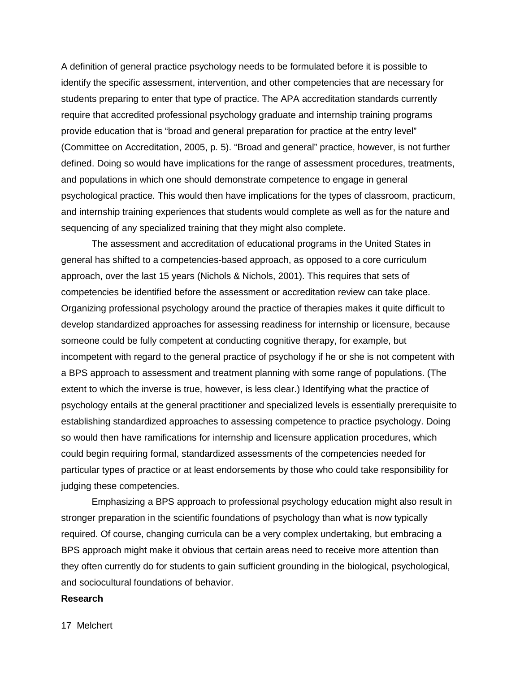A definition of general practice psychology needs to be formulated before it is possible to identify the specific assessment, intervention, and other competencies that are necessary for students preparing to enter that type of practice. The APA accreditation standards currently require that accredited professional psychology graduate and internship training programs provide education that is "broad and general preparation for practice at the entry level" (Committee on Accreditation, 2005, p. 5). "Broad and general" practice, however, is not further defined. Doing so would have implications for the range of assessment procedures, treatments, and populations in which one should demonstrate competence to engage in general psychological practice. This would then have implications for the types of classroom, practicum, and internship training experiences that students would complete as well as for the nature and sequencing of any specialized training that they might also complete.

The assessment and accreditation of educational programs in the United States in general has shifted to a competencies-based approach, as opposed to a core curriculum approach, over the last 15 years (Nichols & Nichols, 2001). This requires that sets of competencies be identified before the assessment or accreditation review can take place. Organizing professional psychology around the practice of therapies makes it quite difficult to develop standardized approaches for assessing readiness for internship or licensure, because someone could be fully competent at conducting cognitive therapy, for example, but incompetent with regard to the general practice of psychology if he or she is not competent with a BPS approach to assessment and treatment planning with some range of populations. (The extent to which the inverse is true, however, is less clear.) Identifying what the practice of psychology entails at the general practitioner and specialized levels is essentially prerequisite to establishing standardized approaches to assessing competence to practice psychology. Doing so would then have ramifications for internship and licensure application procedures, which could begin requiring formal, standardized assessments of the competencies needed for particular types of practice or at least endorsements by those who could take responsibility for judging these competencies.

Emphasizing a BPS approach to professional psychology education might also result in stronger preparation in the scientific foundations of psychology than what is now typically required. Of course, changing curricula can be a very complex undertaking, but embracing a BPS approach might make it obvious that certain areas need to receive more attention than they often currently do for students to gain sufficient grounding in the biological, psychological, and sociocultural foundations of behavior.

#### **Research**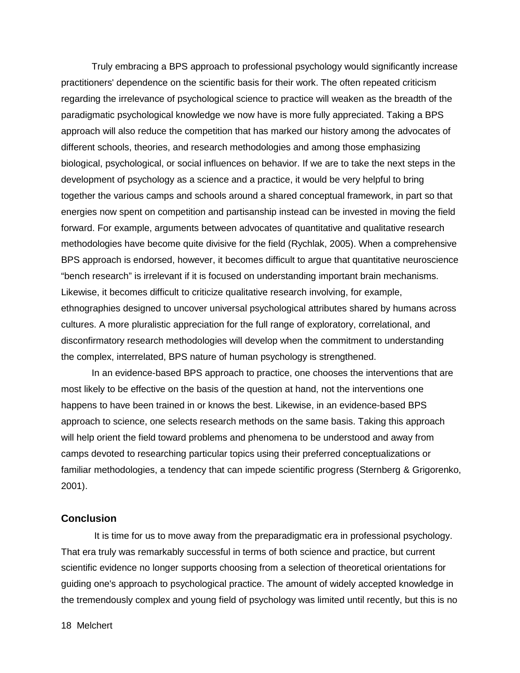Truly embracing a BPS approach to professional psychology would significantly increase practitioners' dependence on the scientific basis for their work. The often repeated criticism regarding the irrelevance of psychological science to practice will weaken as the breadth of the paradigmatic psychological knowledge we now have is more fully appreciated. Taking a BPS approach will also reduce the competition that has marked our history among the advocates of different schools, theories, and research methodologies and among those emphasizing biological, psychological, or social influences on behavior. If we are to take the next steps in the development of psychology as a science and a practice, it would be very helpful to bring together the various camps and schools around a shared conceptual framework, in part so that energies now spent on competition and partisanship instead can be invested in moving the field forward. For example, arguments between advocates of quantitative and qualitative research methodologies have become quite divisive for the field (Rychlak, 2005). When a comprehensive BPS approach is endorsed, however, it becomes difficult to argue that quantitative neuroscience "bench research" is irrelevant if it is focused on understanding important brain mechanisms. Likewise, it becomes difficult to criticize qualitative research involving, for example, ethnographies designed to uncover universal psychological attributes shared by humans across cultures. A more pluralistic appreciation for the full range of exploratory, correlational, and disconfirmatory research methodologies will develop when the commitment to understanding the complex, interrelated, BPS nature of human psychology is strengthened.

In an evidence-based BPS approach to practice, one chooses the interventions that are most likely to be effective on the basis of the question at hand, not the interventions one happens to have been trained in or knows the best. Likewise, in an evidence-based BPS approach to science, one selects research methods on the same basis. Taking this approach will help orient the field toward problems and phenomena to be understood and away from camps devoted to researching particular topics using their preferred conceptualizations or familiar methodologies, a tendency that can impede scientific progress (Sternberg & Grigorenko, 2001).

#### **Conclusion**

 It is time for us to move away from the preparadigmatic era in professional psychology. That era truly was remarkably successful in terms of both science and practice, but current scientific evidence no longer supports choosing from a selection of theoretical orientations for guiding one's approach to psychological practice. The amount of widely accepted knowledge in the tremendously complex and young field of psychology was limited until recently, but this is no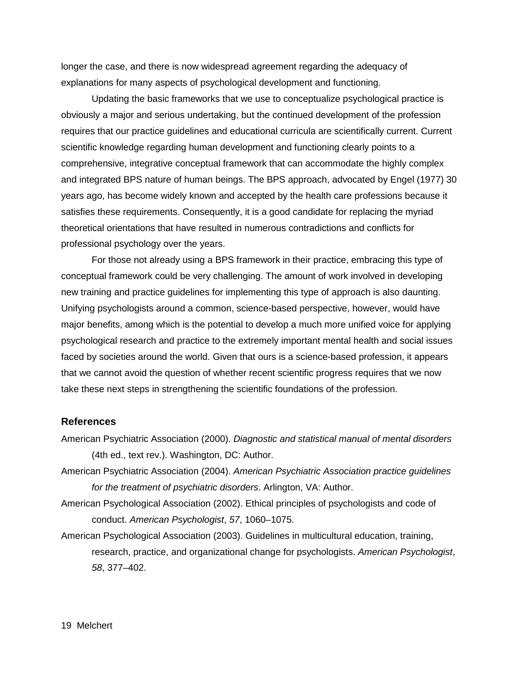longer the case, and there is now widespread agreement regarding the adequacy of explanations for many aspects of psychological development and functioning.

Updating the basic frameworks that we use to conceptualize psychological practice is obviously a major and serious undertaking, but the continued development of the profession requires that our practice guidelines and educational curricula are scientifically current. Current scientific knowledge regarding human development and functioning clearly points to a comprehensive, integrative conceptual framework that can accommodate the highly complex and integrated BPS nature of human beings. The BPS approach, advocated by Engel (1977) 30 years ago, has become widely known and accepted by the health care professions because it satisfies these requirements. Consequently, it is a good candidate for replacing the myriad theoretical orientations that have resulted in numerous contradictions and conflicts for professional psychology over the years.

For those not already using a BPS framework in their practice, embracing this type of conceptual framework could be very challenging. The amount of work involved in developing new training and practice guidelines for implementing this type of approach is also daunting. Unifying psychologists around a common, science-based perspective, however, would have major benefits, among which is the potential to develop a much more unified voice for applying psychological research and practice to the extremely important mental health and social issues faced by societies around the world. Given that ours is a science-based profession, it appears that we cannot avoid the question of whether recent scientific progress requires that we now take these next steps in strengthening the scientific foundations of the profession.

#### **References**

- American Psychiatric Association (2000). Diagnostic and statistical manual of mental disorders (4th ed., text rev.). Washington, DC: Author.
- American Psychiatric Association (2004). American Psychiatric Association practice guidelines for the treatment of psychiatric disorders. Arlington, VA: Author.
- American Psychological Association (2002). Ethical principles of psychologists and code of conduct. American Psychologist, 57, 1060–1075.
- American Psychological Association (2003). Guidelines in multicultural education, training, research, practice, and organizational change for psychologists. American Psychologist, 58, 377–402.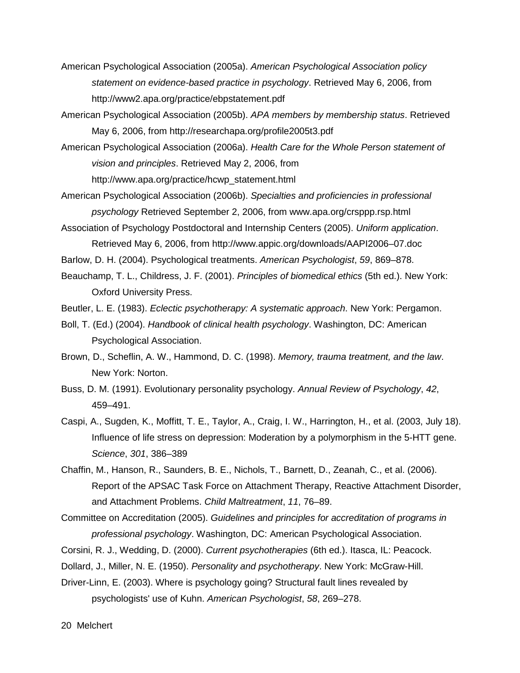- American Psychological Association (2005a). American Psychological Association policy statement on evidence-based practice in psychology. Retrieved May 6, 2006, from http://www2.apa.org/practice/ebpstatement.pdf
- American Psychological Association (2005b). APA members by membership status. Retrieved May 6, 2006, from http://researchapa.org/profile2005t3.pdf
- American Psychological Association (2006a). Health Care for the Whole Person statement of vision and principles. Retrieved May 2, 2006, from http://www.apa.org/practice/hcwp\_statement.html

American Psychological Association (2006b). Specialties and proficiencies in professional psychology Retrieved September 2, 2006, from www.apa.org/crsppp.rsp.html

- Association of Psychology Postdoctoral and Internship Centers (2005). Uniform application. Retrieved May 6, 2006, from http://www.appic.org/downloads/AAPI2006–07.doc
- Barlow, D. H. (2004). Psychological treatments. American Psychologist, 59, 869–878.
- Beauchamp, T. L., Childress, J. F. (2001). Principles of biomedical ethics (5th ed.). New York: Oxford University Press.

Beutler, L. E. (1983). Eclectic psychotherapy: A systematic approach. New York: Pergamon.

- Boll, T. (Ed.) (2004). Handbook of clinical health psychology. Washington, DC: American Psychological Association.
- Brown, D., Scheflin, A. W., Hammond, D. C. (1998). Memory, trauma treatment, and the law. New York: Norton.
- Buss, D. M. (1991). Evolutionary personality psychology. Annual Review of Psychology, 42, 459–491.
- Caspi, A., Sugden, K., Moffitt, T. E., Taylor, A., Craig, I. W., Harrington, H., et al. (2003, July 18). Influence of life stress on depression: Moderation by a polymorphism in the 5-HTT gene. Science, 301, 386–389
- Chaffin, M., Hanson, R., Saunders, B. E., Nichols, T., Barnett, D., Zeanah, C., et al. (2006). Report of the APSAC Task Force on Attachment Therapy, Reactive Attachment Disorder, and Attachment Problems. Child Maltreatment, 11, 76–89.
- Committee on Accreditation (2005). Guidelines and principles for accreditation of programs in professional psychology. Washington, DC: American Psychological Association.
- Corsini, R. J., Wedding, D. (2000). Current psychotherapies (6th ed.). Itasca, IL: Peacock.

Dollard, J., Miller, N. E. (1950). Personality and psychotherapy. New York: McGraw-Hill.

Driver-Linn, E. (2003). Where is psychology going? Structural fault lines revealed by psychologists' use of Kuhn. American Psychologist, 58, 269–278.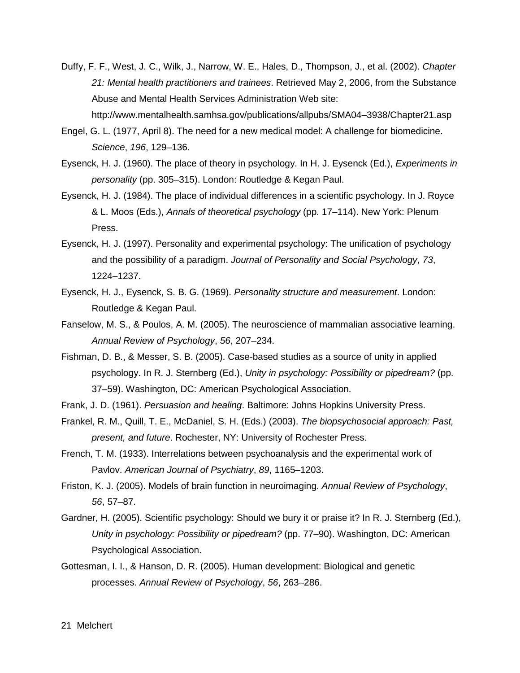- Duffy, F. F., West, J. C., Wilk, J., Narrow, W. E., Hales, D., Thompson, J., et al. (2002). Chapter 21: Mental health practitioners and trainees. Retrieved May 2, 2006, from the Substance Abuse and Mental Health Services Administration Web site: http://www.mentalhealth.samhsa.gov/publications/allpubs/SMA04–3938/Chapter21.asp
- Engel, G. L. (1977, April 8). The need for a new medical model: A challenge for biomedicine. Science, 196, 129–136.
- Eysenck, H. J. (1960). The place of theory in psychology. In H. J. Eysenck (Ed.), Experiments in personality (pp. 305–315). London: Routledge & Kegan Paul.
- Eysenck, H. J. (1984). The place of individual differences in a scientific psychology. In J. Royce & L. Moos (Eds.), Annals of theoretical psychology (pp. 17–114). New York: Plenum Press.
- Eysenck, H. J. (1997). Personality and experimental psychology: The unification of psychology and the possibility of a paradigm. Journal of Personality and Social Psychology, 73, 1224–1237.
- Eysenck, H. J., Eysenck, S. B. G. (1969). Personality structure and measurement. London: Routledge & Kegan Paul.
- Fanselow, M. S., & Poulos, A. M. (2005). The neuroscience of mammalian associative learning. Annual Review of Psychology, 56, 207–234.
- Fishman, D. B., & Messer, S. B. (2005). Case-based studies as a source of unity in applied psychology. In R. J. Sternberg (Ed.), Unity in psychology: Possibility or pipedream? (pp. 37–59). Washington, DC: American Psychological Association.
- Frank, J. D. (1961). Persuasion and healing. Baltimore: Johns Hopkins University Press.
- Frankel, R. M., Quill, T. E., McDaniel, S. H. (Eds.) (2003). The biopsychosocial approach: Past, present, and future. Rochester, NY: University of Rochester Press.
- French, T. M. (1933). Interrelations between psychoanalysis and the experimental work of Pavlov. American Journal of Psychiatry, 89, 1165–1203.
- Friston, K. J. (2005). Models of brain function in neuroimaging. Annual Review of Psychology, 56, 57–87.
- Gardner, H. (2005). Scientific psychology: Should we bury it or praise it? In R. J. Sternberg (Ed.), Unity in psychology: Possibility or pipedream? (pp. 77–90). Washington, DC: American Psychological Association.
- Gottesman, I. I., & Hanson, D. R. (2005). Human development: Biological and genetic processes. Annual Review of Psychology, 56, 263–286.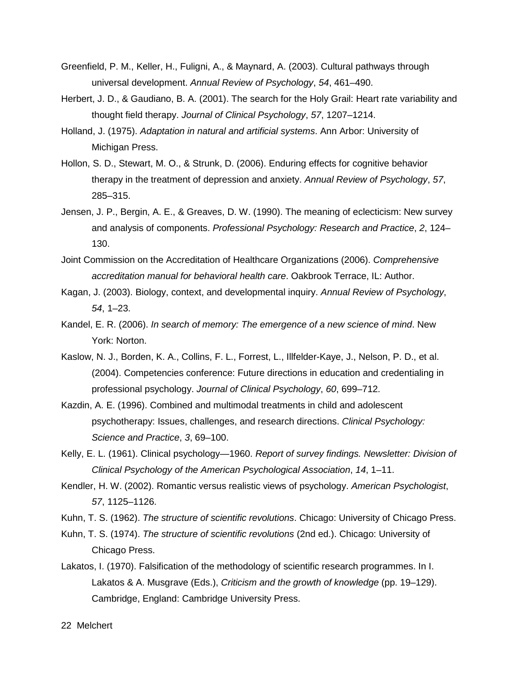- Greenfield, P. M., Keller, H., Fuligni, A., & Maynard, A. (2003). Cultural pathways through universal development. Annual Review of Psychology, 54, 461–490.
- Herbert, J. D., & Gaudiano, B. A. (2001). The search for the Holy Grail: Heart rate variability and thought field therapy. Journal of Clinical Psychology, 57, 1207–1214.
- Holland, J. (1975). Adaptation in natural and artificial systems. Ann Arbor: University of Michigan Press.
- Hollon, S. D., Stewart, M. O., & Strunk, D. (2006). Enduring effects for cognitive behavior therapy in the treatment of depression and anxiety. Annual Review of Psychology, 57, 285–315.
- Jensen, J. P., Bergin, A. E., & Greaves, D. W. (1990). The meaning of eclecticism: New survey and analysis of components. Professional Psychology: Research and Practice, 2, 124– 130.
- Joint Commission on the Accreditation of Healthcare Organizations (2006). Comprehensive accreditation manual for behavioral health care. Oakbrook Terrace, IL: Author.
- Kagan, J. (2003). Biology, context, and developmental inquiry. Annual Review of Psychology, 54, 1–23.
- Kandel, E. R. (2006). In search of memory: The emergence of a new science of mind. New York: Norton.
- Kaslow, N. J., Borden, K. A., Collins, F. L., Forrest, L., Illfelder-Kaye, J., Nelson, P. D., et al. (2004). Competencies conference: Future directions in education and credentialing in professional psychology. Journal of Clinical Psychology, 60, 699–712.
- Kazdin, A. E. (1996). Combined and multimodal treatments in child and adolescent psychotherapy: Issues, challenges, and research directions. Clinical Psychology: Science and Practice, 3, 69–100.
- Kelly, E. L. (1961). Clinical psychology—1960. Report of survey findings. Newsletter: Division of Clinical Psychology of the American Psychological Association, 14, 1–11.
- Kendler, H. W. (2002). Romantic versus realistic views of psychology. American Psychologist, 57, 1125–1126.
- Kuhn, T. S. (1962). The structure of scientific revolutions. Chicago: University of Chicago Press.
- Kuhn, T. S. (1974). The structure of scientific revolutions (2nd ed.). Chicago: University of Chicago Press.
- Lakatos, I. (1970). Falsification of the methodology of scientific research programmes. In I. Lakatos & A. Musgrave (Eds.), *Criticism and the growth of knowledge* (pp. 19–129). Cambridge, England: Cambridge University Press.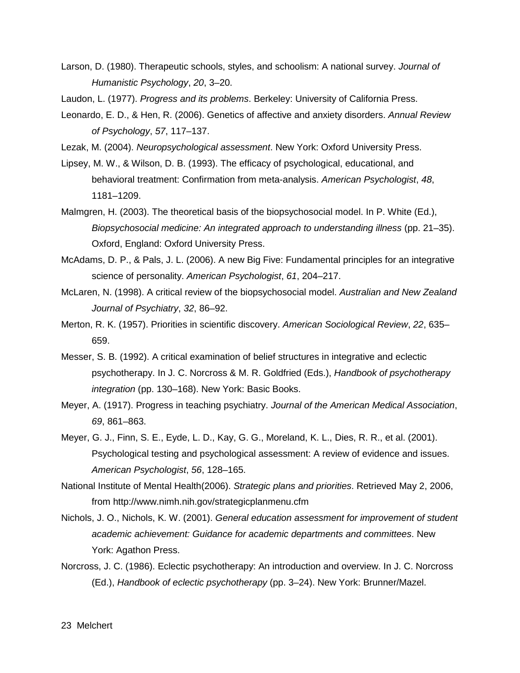Larson, D. (1980). Therapeutic schools, styles, and schoolism: A national survey. Journal of Humanistic Psychology, 20, 3–20.

Laudon, L. (1977). Progress and its problems. Berkeley: University of California Press.

Leonardo, E. D., & Hen, R. (2006). Genetics of affective and anxiety disorders. Annual Review of Psychology, 57, 117–137.

Lezak, M. (2004). Neuropsychological assessment. New York: Oxford University Press.

- Lipsey, M. W., & Wilson, D. B. (1993). The efficacy of psychological, educational, and behavioral treatment: Confirmation from meta-analysis. American Psychologist, 48, 1181–1209.
- Malmgren, H. (2003). The theoretical basis of the biopsychosocial model. In P. White (Ed.), Biopsychosocial medicine: An integrated approach to understanding illness (pp. 21–35). Oxford, England: Oxford University Press.
- McAdams, D. P., & Pals, J. L. (2006). A new Big Five: Fundamental principles for an integrative science of personality. American Psychologist, 61, 204-217.
- McLaren, N. (1998). A critical review of the biopsychosocial model. Australian and New Zealand Journal of Psychiatry, 32, 86–92.
- Merton, R. K. (1957). Priorities in scientific discovery. American Sociological Review, 22, 635– 659.
- Messer, S. B. (1992). A critical examination of belief structures in integrative and eclectic psychotherapy. In J. C. Norcross & M. R. Goldfried (Eds.), Handbook of psychotherapy integration (pp. 130–168). New York: Basic Books.
- Meyer, A. (1917). Progress in teaching psychiatry. Journal of the American Medical Association, 69, 861–863.
- Meyer, G. J., Finn, S. E., Eyde, L. D., Kay, G. G., Moreland, K. L., Dies, R. R., et al. (2001). Psychological testing and psychological assessment: A review of evidence and issues. American Psychologist, 56, 128–165.
- National Institute of Mental Health(2006). Strategic plans and priorities. Retrieved May 2, 2006, from http://www.nimh.nih.gov/strategicplanmenu.cfm
- Nichols, J. O., Nichols, K. W. (2001). General education assessment for improvement of student academic achievement: Guidance for academic departments and committees. New York: Agathon Press.
- Norcross, J. C. (1986). Eclectic psychotherapy: An introduction and overview. In J. C. Norcross (Ed.), Handbook of eclectic psychotherapy (pp. 3–24). New York: Brunner/Mazel.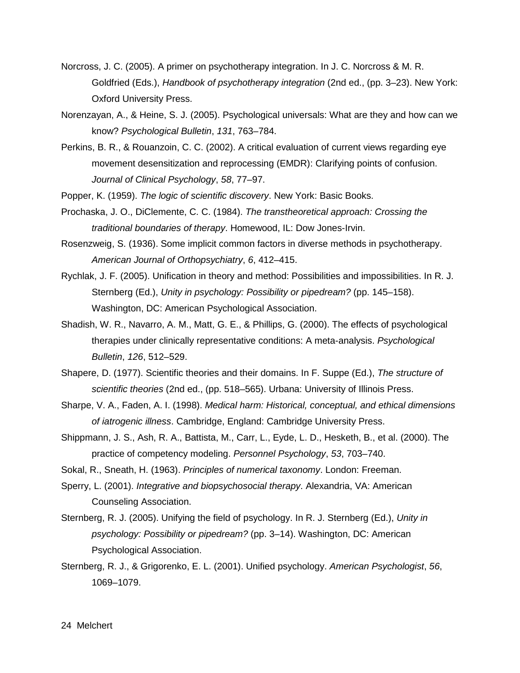- Norcross, J. C. (2005). A primer on psychotherapy integration. In J. C. Norcross & M. R. Goldfried (Eds.), Handbook of psychotherapy integration (2nd ed., (pp. 3–23). New York: Oxford University Press.
- Norenzayan, A., & Heine, S. J. (2005). Psychological universals: What are they and how can we know? Psychological Bulletin, 131, 763–784.
- Perkins, B. R., & Rouanzoin, C. C. (2002). A critical evaluation of current views regarding eye movement desensitization and reprocessing (EMDR): Clarifying points of confusion. Journal of Clinical Psychology, 58, 77–97.

Popper, K. (1959). The logic of scientific discovery. New York: Basic Books.

- Prochaska, J. O., DiClemente, C. C. (1984). The transtheoretical approach: Crossing the traditional boundaries of therapy. Homewood, IL: Dow Jones-Irvin.
- Rosenzweig, S. (1936). Some implicit common factors in diverse methods in psychotherapy. American Journal of Orthopsychiatry, 6, 412–415.
- Rychlak, J. F. (2005). Unification in theory and method: Possibilities and impossibilities. In R. J. Sternberg (Ed.), Unity in psychology: Possibility or pipedream? (pp. 145–158). Washington, DC: American Psychological Association.
- Shadish, W. R., Navarro, A. M., Matt, G. E., & Phillips, G. (2000). The effects of psychological therapies under clinically representative conditions: A meta-analysis. Psychological Bulletin, 126, 512–529.
- Shapere, D. (1977). Scientific theories and their domains. In F. Suppe (Ed.), The structure of scientific theories (2nd ed., (pp. 518–565). Urbana: University of Illinois Press.
- Sharpe, V. A., Faden, A. I. (1998). Medical harm: Historical, conceptual, and ethical dimensions of iatrogenic illness. Cambridge, England: Cambridge University Press.
- Shippmann, J. S., Ash, R. A., Battista, M., Carr, L., Eyde, L. D., Hesketh, B., et al. (2000). The practice of competency modeling. Personnel Psychology, 53, 703–740.
- Sokal, R., Sneath, H. (1963). Principles of numerical taxonomy. London: Freeman.
- Sperry, L. (2001). Integrative and biopsychosocial therapy. Alexandria, VA: American Counseling Association.
- Sternberg, R. J. (2005). Unifying the field of psychology. In R. J. Sternberg (Ed.), Unity in psychology: Possibility or pipedream? (pp. 3–14). Washington, DC: American Psychological Association.
- Sternberg, R. J., & Grigorenko, E. L. (2001). Unified psychology. American Psychologist, 56, 1069–1079.